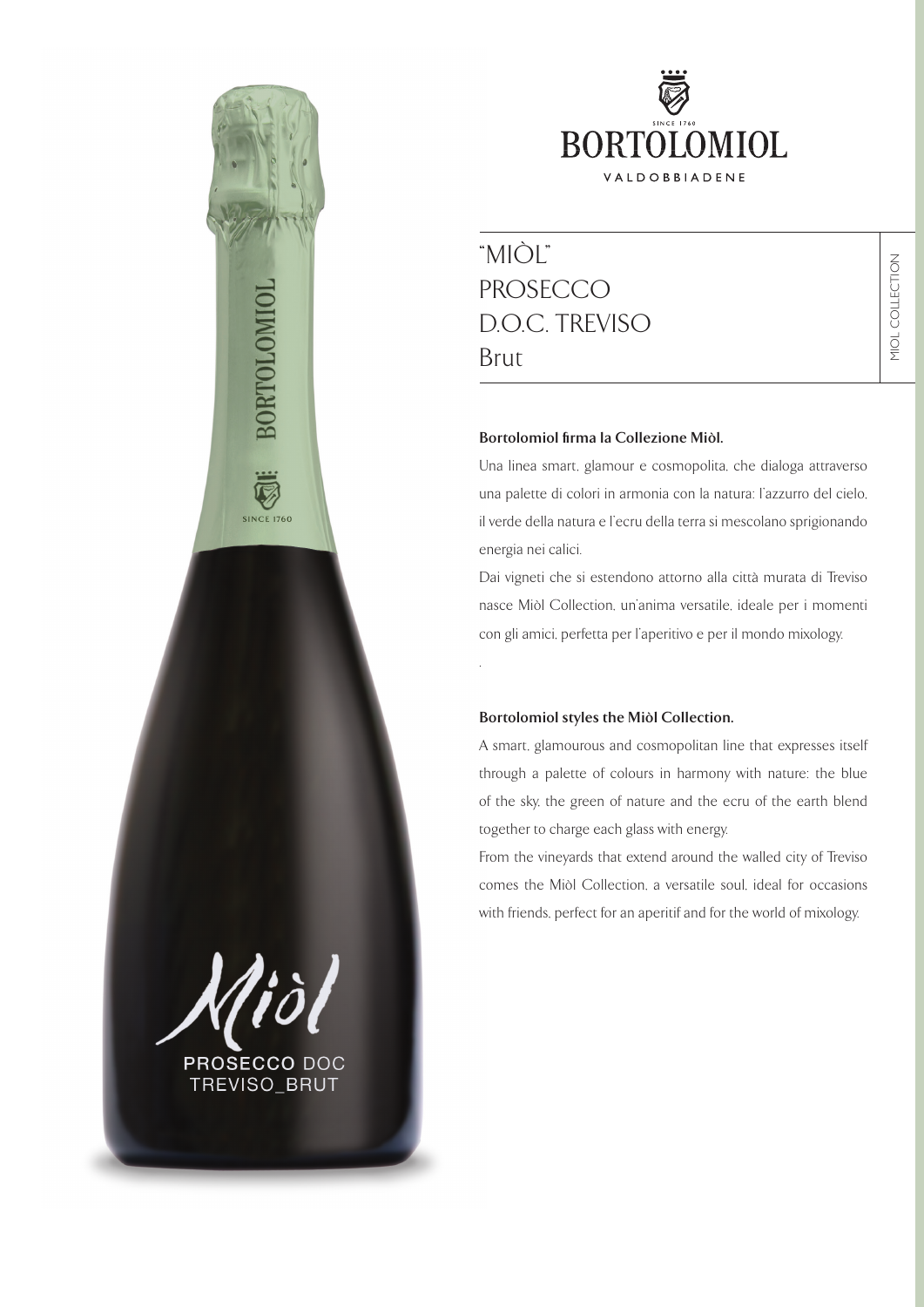

# "MIÒL" PROSECCO D.O.C. TREVISO Brut

## **Bortolomiol firma la Collezione Miòl.**

Una linea smart, glamour e cosmopolita, che dialoga attraverso una palette di colori in armonia con la natura: l'azzurro del cielo, il verde della natura e l'ecru della terra si mescolano sprigionando energia nei calici.

Dai vigneti che si estendono attorno alla città murata di Treviso nasce Miòl Collection, un'anima versatile, ideale per i momenti con gli amici, perfetta per l'aperitivo e per il mondo mixology.

### **Bortolomiol styles the Miòl Collection.**

.

A smart, glamourous and cosmopolitan line that expresses itself through a palette of colours in harmony with nature: the blue of the sky, the green of nature and the ecru of the earth blend together to charge each glass with energy.

From the vineyards that extend around the walled city of Treviso comes the Miòl Collection, a versatile soul, ideal for occasions with friends, perfect for an aperitif and for the world of mixology.

PROSECCO DOC

**SINCE 1760** 

TREVISO\_BRUT